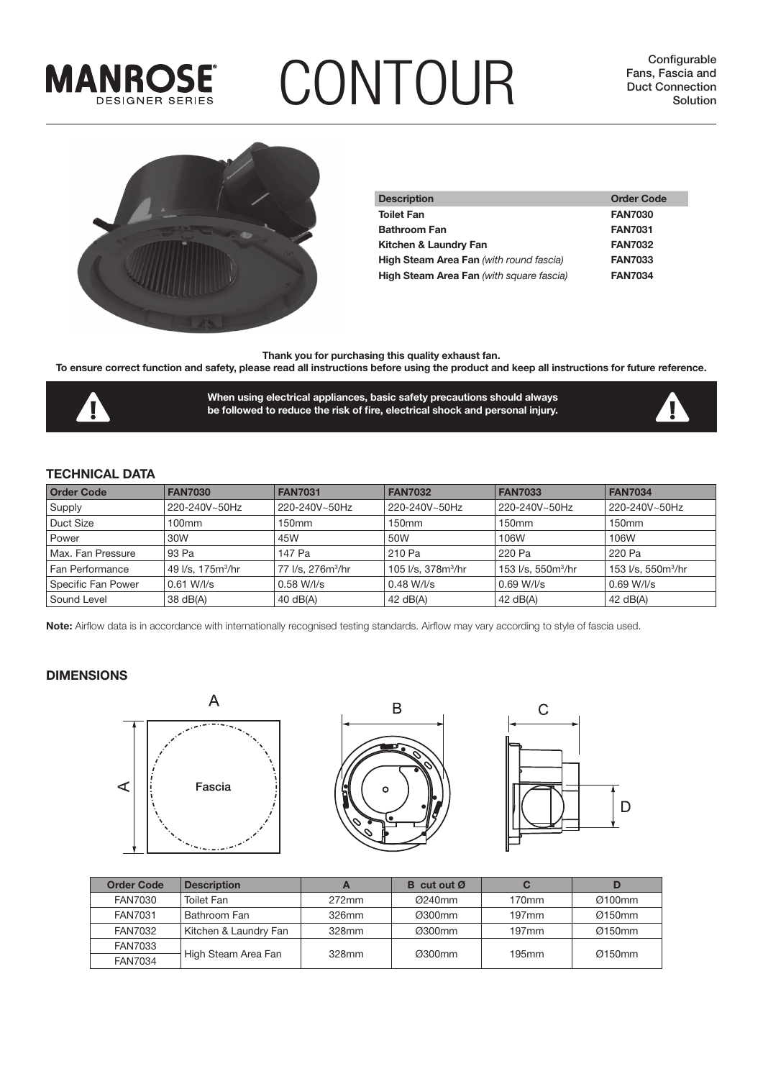

# **CONTOUR** Eans, Fascia and Duct Connection Configurable

**Configurable Fans, Fascia and** 



| <b>Description</b>                              | <b>Order Code</b> |
|-------------------------------------------------|-------------------|
| <b>Toilet Fan</b>                               | <b>FAN7030</b>    |
| <b>Bathroom Fan</b>                             | <b>FAN7031</b>    |
| Kitchen & Laundry Fan                           | <b>FAN7032</b>    |
| <b>High Steam Area Fan</b> (with round fascia)  | <b>FAN7033</b>    |
| <b>High Steam Area Fan</b> (with square fascia) | <b>FAN7034</b>    |

**Thank you for purchasing this quality exhaust fan.** 

**To ensure correct function and safety, please read all instructions before using the product and keep all instructions for future reference.** 



**When using electrical appliances, basic safety precautions should always**  be followed to reduce the risk of fire, electrical shock and personal injury.



### **TECHNICAL DATA**

| <b>Order Code</b>  | <b>FAN7030</b>                | <b>FAN7031</b>                | <b>FAN7032</b>                 | <b>FAN7033</b>                 | <b>FAN7034</b>                 |
|--------------------|-------------------------------|-------------------------------|--------------------------------|--------------------------------|--------------------------------|
| Supply             | 220-240V~50Hz                 | 220-240V~50Hz                 | 220-240V~50Hz                  | 220-240V~50Hz                  | 220-240V~50Hz                  |
| Duct Size          | 100mm                         | 150 <sub>mm</sub>             | 150 <sub>mm</sub>              | 150 <sub>mm</sub>              | 150 <sub>mm</sub>              |
| Power              | 30W                           | 45W                           | 50W                            | 106W                           | 106W                           |
| Max. Fan Pressure  | 93 Pa                         | 147 Pa                        | 210 Pa                         | 220 Pa                         | 220 Pa                         |
| Fan Performance    | 49 l/s, 175m <sup>3</sup> /hr | 77 l/s, 276m <sup>3</sup> /hr | 105 l/s. 378m <sup>3</sup> /hr | 153 l/s. 550m <sup>3</sup> /hr | 153 l/s, 550m <sup>3</sup> /hr |
| Specific Fan Power | $0.61$ W/l/s                  | $0.58 W/$ /s                  | $0.48$ W/l/s                   | $0.69 W/$ /s                   | $0.69$ W/l/s                   |
| Sound Level        | 38 dB(A)                      | 40 $dB(A)$                    | 42 $dB(A)$                     | 42 $dB(A)$                     | 42 $dB(A)$                     |

**Note:** Airflow data is in accordance with internationally recognised testing standards. Airflow may vary according to style of fascia used.

#### **DIMENSIONS**







| <b>Order Code</b> | <b>Description</b>    |          | <b>B</b> cut out $\varnothing$ |          |           |
|-------------------|-----------------------|----------|--------------------------------|----------|-----------|
| FAN7030           | Toilet Fan            | $272$ mm | $Q240$ mm                      | 170mm    | Ø100mm    |
| <b>FAN7031</b>    | Bathroom Fan          | 326mm    | Ø300mm                         | $197$ mm | Ø150mm    |
| <b>FAN7032</b>    | Kitchen & Laundry Fan | 328mm    | Ø300mm                         | $197$ mm | $Q150$ mm |
| <b>FAN7033</b>    | High Steam Area Fan   |          |                                | 195mm    | Q150mm    |
| FAN7034           |                       | 328mm    | Ø300mm                         |          |           |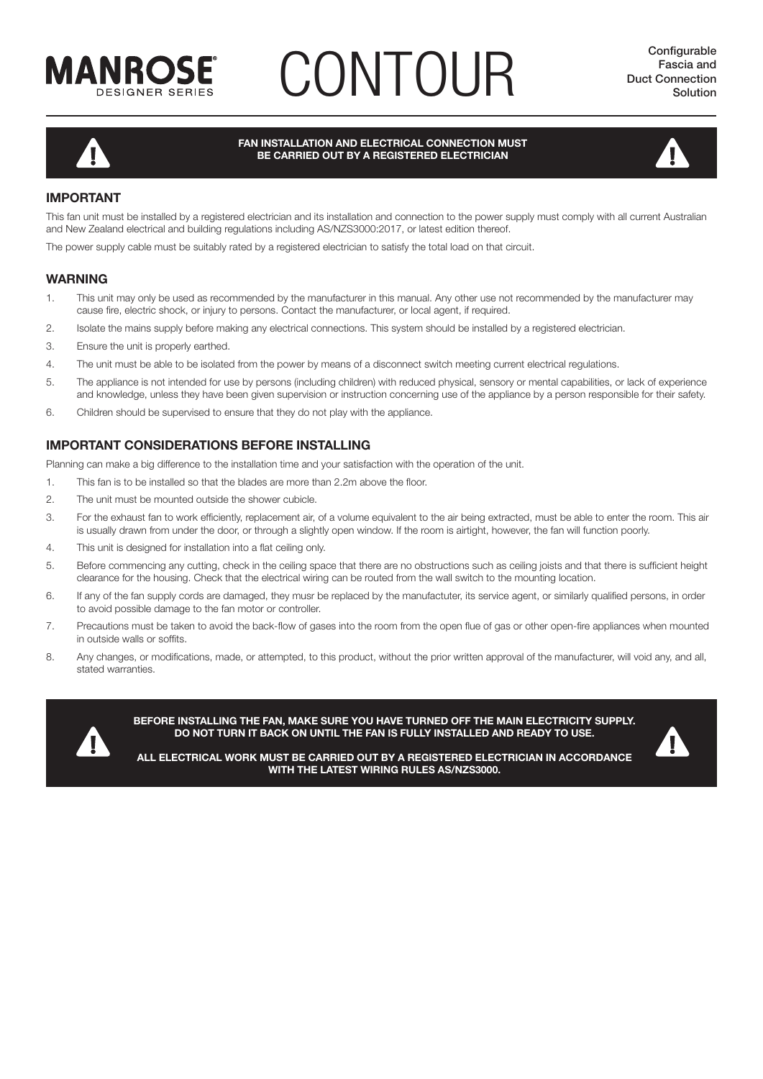

# **CONTOUR** Existia and Duct Connection



#### **FAN INSTALLATION AND ELECTRICAL CONNECTION MUST BE CARRIED OUT BY A REGISTERED ELECTRICIAN**



### **IMPORTANT**

This fan unit must be installed by a registered electrician and its installation and connection to the power supply must comply with all current Australian and New Zealand electrical and building regulations including AS/NZS3000:2017, or latest edition thereof.

The power supply cable must be suitably rated by a registered electrician to satisfy the total load on that circuit.

### **WARNING**

- 1. This unit may only be used as recommended by the manufacturer in this manual. Any other use not recommended by the manufacturer may cause fire, electric shock, or injury to persons. Contact the manufacturer, or local agent, if required.
- 2. Isolate the mains supply before making any electrical connections. This system should be installed by a registered electrician.
- 3. Ensure the unit is properly earthed.
- 4. The unit must be able to be isolated from the power by means of a disconnect switch meeting current electrical regulations.
- 5. The appliance is not intended for use by persons (including children) with reduced physical, sensory or mental capabilities, or lack of experience and knowledge, unless they have been given supervision or instruction concerning use of the appliance by a person responsible for their safety.
- 6. Children should be supervised to ensure that they do not play with the appliance.

### **IMPORTANT CONSIDERATIONS BEFORE INSTALLING**

Planning can make a big difference to the installation time and your satisfaction with the operation of the unit.

- 1. This fan is to be installed so that the blades are more than 2.2m above the floor.
- 2. The unit must be mounted outside the shower cubicle.
- 3. For the exhaust fan to work efficiently, replacement air, of a volume equivalent to the air being extracted, must be able to enter the room. This air is usually drawn from under the door, or through a slightly open window. If the room is airtight, however, the fan will function poorly.
- 4. This unit is designed for installation into a flat ceiling only.
- 5. Before commencing any cutting, check in the ceiling space that there are no obstructions such as ceiling joists and that there is sufficient height clearance for the housing. Check that the electrical wiring can be routed from the wall switch to the mounting location.
- 6. If any of the fan supply cords are damaged, they musr be replaced by the manufactuter, its service agent, or similarly qualified persons, in order to avoid possible damage to the fan motor or controller.
- 7. Precautions must be taken to avoid the back-flow of gases into the room from the open flue of gas or other open-fire appliances when mounted in outside walls or soffits.
- 8. Any changes, or modifications, made, or attempted, to this product, without the prior written approval of the manufacturer, will void any, and all, stated warranties.



**BEFORE INSTALLING THE FAN, MAKE SURE YOU HAVE TURNED OFF THE MAIN ELECTRICITY SUPPLY. DO NOT TURN IT BACK ON UNTIL THE FAN IS FULLY INSTALLED AND READY TO USE.**



**ALL ELECTRICAL WORK MUST BE CARRIED OUT BY A REGISTERED ELECTRICIAN IN ACCORDANCE WITH THE LATEST WIRING RULES AS/NZS3000.**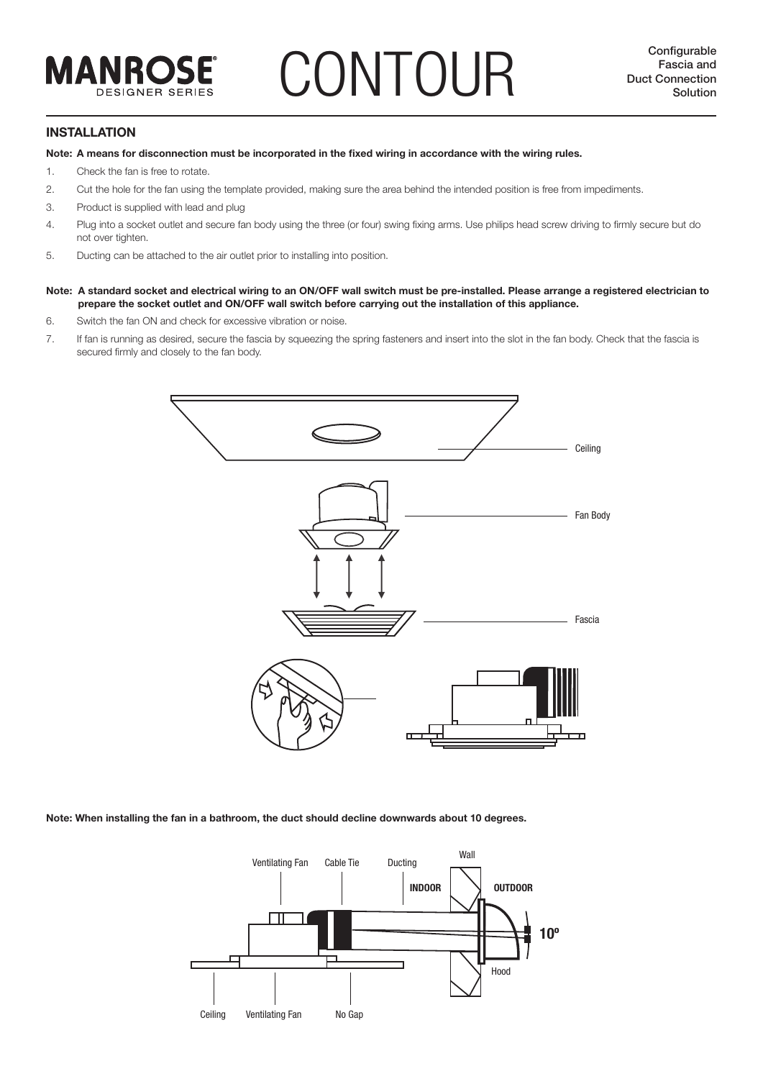### **CONTOUR Duct Connection**<br> **Solution Duct Connection**<br> **Solution**

#### **INSTALLATION**

Note: A means for disconnection must be incorporated in the fixed wiring in accordance with the wiring rules.

- 1. Check the fan is free to rotate.
- 2. Cut the hole for the fan using the template provided, making sure the area behind the intended position is free from impediments.
- 3. Product is supplied with lead and plug
- 4. Plug into a socket outlet and secure fan body using the three (or four) swing fixing arms. Use philips head screw driving to firmly secure but do not over tighten.
- 5. Ducting can be attached to the air outlet prior to installing into position.
- **Note: A standard socket and electrical wiring to an ON/OFF wall switch must be pre-installed. Please arrange a registered electrician to prepare the socket outlet and ON/OFF wall switch before carrying out the installation of this appliance.**
- 6. Switch the fan ON and check for excessive vibration or noise.
- 7. If fan is running as desired, secure the fascia by squeezing the spring fasteners and insert into the slot in the fan body. Check that the fascia is secured firmly and closely to the fan body.



**Note: When installing the fan in a bathroom, the duct should decline downwards about 10 degrees.**

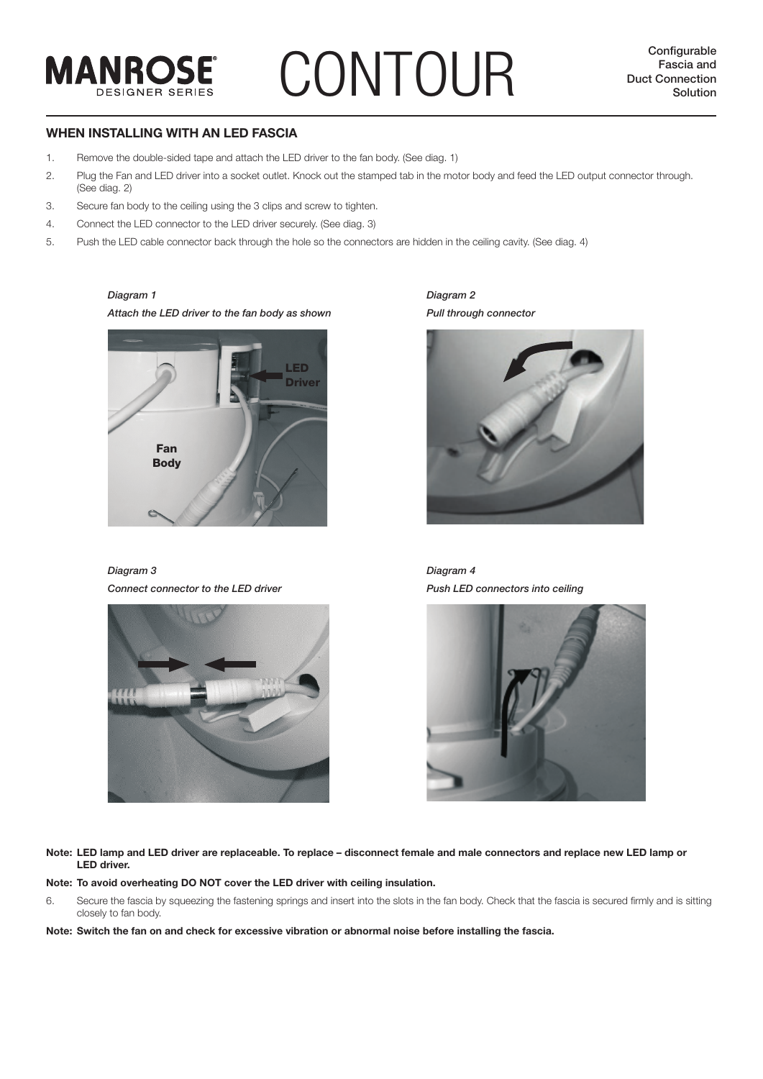# **CONTOUR Duct Configurable**<br> **Duct Connection**<br>
Solution

**Configurable Fascia and** 

### **WHEN INSTALLING WITH AN LED FASCIA**

- 1. Remove the double-sided tape and attach the LED driver to the fan body. (See diag. 1)
- 2. Plug the Fan and LED driver into a socket outlet. Knock out the stamped tab in the motor body and feed the LED output connector through. (See diag. 2)
- 3. Secure fan body to the ceiling using the 3 clips and screw to tighten.
- 4. Connect the LED connector to the LED driver securely. (See diag. 3)
- 5. Push the LED cable connector back through the hole so the connectors are hidden in the ceiling cavity. (See diag. 4)

#### *Diagram 1*

**MANROSE** 

**DESIGNER SERIES** 

*Attach the LED driver to the fan body as shown*



*Diagram 3 Connect connector to the LED driver*



*Diagram 2 Pull through connector*



*Diagram 4 Push LED connectors into ceiling*



**Note: LED lamp and LED driver are replaceable. To replace – disconnect female and male connectors and replace new LED lamp or LED driver.** 

**Note: To avoid overheating DO NOT cover the LED driver with ceiling insulation.**

6. Secure the fascia by squeezing the fastening springs and insert into the slots in the fan body. Check that the fascia is secured firmly and is sitting closely to fan body.

**Note: Switch the fan on and check for excessive vibration or abnormal noise before installing the fascia.**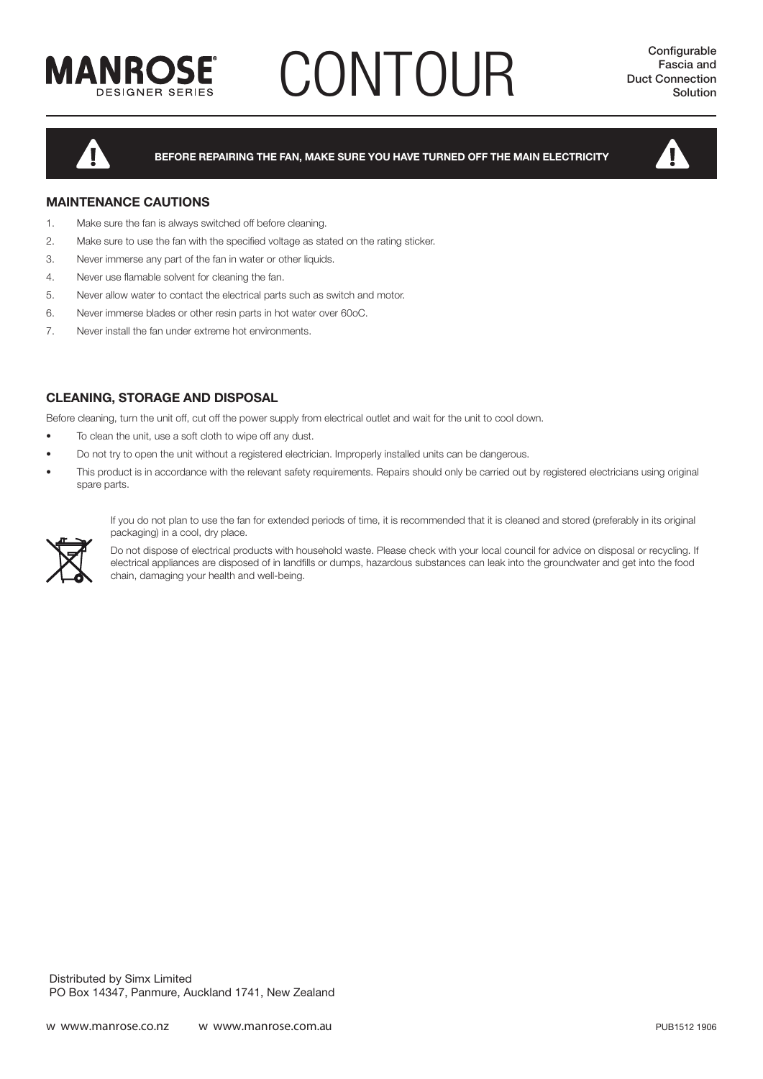

# **CONTOUR** Duct Connection<br>
Solution Solution



**BEFORE REPAIRING THE FAN, MAKE SURE YOU HAVE TURNED OFF THE MAIN ELECTRICITY**



### **MAINTENANCE CAUTIONS**

- 1. Make sure the fan is always switched off before cleaning.
- 2. Make sure to use the fan with the specified voltage as stated on the rating sticker.
- 3. Never immerse any part of the fan in water or other liquids.
- 4. Never use flamable solvent for cleaning the fan.
- 5. Never allow water to contact the electrical parts such as switch and motor.
- 6. Never immerse blades or other resin parts in hot water over 60oC.
- 7. Never install the fan under extreme hot environments.

### **CLEANING, STORAGE AND DISPOSAL**

Before cleaning, turn the unit off, cut off the power supply from electrical outlet and wait for the unit to cool down.

- To clean the unit, use a soft cloth to wipe off any dust.
- Do not try to open the unit without a registered electrician. Improperly installed units can be dangerous.
- This product is in accordance with the relevant safety requirements. Repairs should only be carried out by registered electricians using original spare parts.

If you do not plan to use the fan for extended periods of time, it is recommended that it is cleaned and stored (preferably in its original packaging) in a cool, dry place.

Do not dispose of electrical products with household waste. Please check with your local council for advice on disposal or recycling. If electrical appliances are disposed of in landfills or dumps, hazardous substances can leak into the groundwater and get into the food chain, damaging your health and well-being.